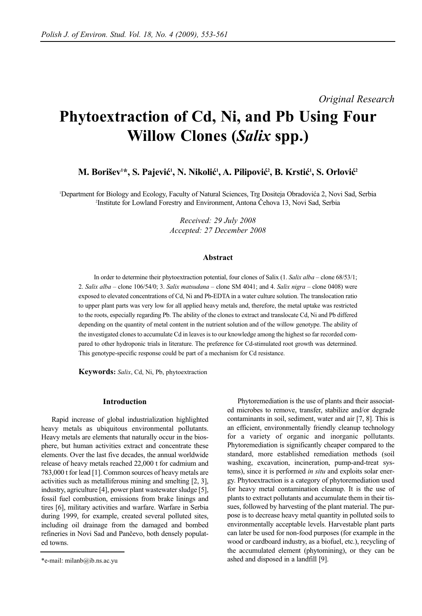# *Original Research*

# **Phytoextraction of Cd, Ni, and Pb Using Four Willow Clones (***Salix* **spp.)**

# M. Borišev<sup>1\*</sup>, S. Pajević<sup>1</sup>, N. Nikolić<sup>1</sup>, A. Pilipović<sup>2</sup>, B. Krstić<sup>1</sup>, S. Orlović<sup>2</sup>

1 Department for Biology and Ecology, Faculty of Natural Sciences, Trg Dositeja Obradovića 2, Novi Sad, Serbia 2 Institute for Lowland Forestry and Environment, Antona Čehova 13, Novi Sad, Serbia

> *Received: 29 July 2008 Accepted: 27 December 2008*

#### **Abstract**

In order to determine their phytoextraction potential, four clones of Salix (1. *Salix alba* – clone 68/53/1; 2. *Salix alba* – clone 106/54/0; 3. *Salix matsudana* – clone SM 4041; and 4. *Salix nigra* – clone 0408) were exposed to elevated concentrations of Cd, Ni and Pb-EDTA in a water culture solution. The translocation ratio to upper plant parts was very low for all applied heavy metals and, therefore, the metal uptake was restricted to the roots, especially regarding Pb. The ability of the clones to extract and translocate Cd, Ni and Pb differed depending on the quantity of metal content in the nutrient solution and of the willow genotype. The ability of the investigated clones to accumulate Cd in leaves is to our knowledge among the highest so far recorded compared to other hydroponic trials in literature. The preference for Cd-stimulated root growth was determined. This genotype-specific response could be part of a mechanism for Cd resistance.

**Keywords:** *Salix*, Cd, Ni, Pb, phytoextraction

#### **Introduction**

Rapid increase of global industrialization highlighted heavy metals as ubiquitous environmental pollutants. Heavy metals are elements that naturally occur in the biosphere, but human activities extract and concentrate these elements. Over the last five decades, the annual worldwide release of heavy metals reached 22,000 t for cadmium and 783,000 t for lead [1]. Common sources of heavy metals are activities such as metalliferous mining and smelting [2, 3], industry, agriculture [4], power plant wastewater sludge [5], fossil fuel combustion, emissions from brake linings and tires [6], military activities and warfare. Warfare in Serbia during 1999, for example, created several polluted sites, including oil drainage from the damaged and bombed refineries in Novi Sad and Pančevo, both densely populated towns.

Phytoremediation is the use of plants and their associated microbes to remove, transfer, stabilize and/or degrade contaminants in soil, sediment, water and air [7, 8]. This is an efficient, environmentally friendly cleanup technology for a variety of organic and inorganic pollutants. Phytoremediation is significantly cheaper compared to the standard, more established remediation methods (soil washing, excavation, incineration, pump-and-treat systems), since it is performed *in situ* and exploits solar energy. Phytoextraction is a category of phytoremediation used for heavy metal contamination cleanup. It is the use of plants to extract pollutants and accumulate them in their tissues, followed by harvesting of the plant material. The purpose is to decrease heavy metal quantity in polluted soils to environmentally acceptable levels. Harvestable plant parts can later be used for non-food purposes (for example in the wood or cardboard industry, as a biofuel, etc.), recycling of the accumulated element (phytomining), or they can be ashed and disposed in a landfill [9].

<sup>\*</sup>e-mail: milanb@ib.ns.ac.yu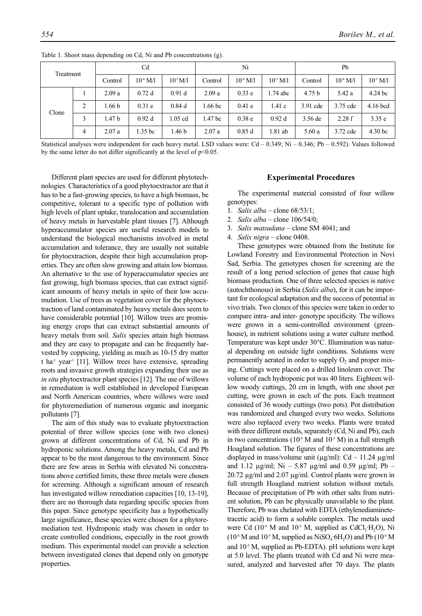| Treatment |   | Cd                |                    |                   | Ni                 |                      |              | Pb                |            |              |
|-----------|---|-------------------|--------------------|-------------------|--------------------|----------------------|--------------|-------------------|------------|--------------|
|           |   | Control           | $10^4 \text{ M}/1$ | $10^{-5}$ M/I     | Control            | 10 <sup>-1</sup> M/l | $10^{5}$ M/l | Control           | $10^4$ M/I | $10^{5}$ M/I |
| Clone     |   | 2.09a             | 0.72d              | 0.91 <sub>d</sub> | 2.09a              | 0.33e                | $1.74$ abc   | 4.75 <sub>b</sub> | 5.42 a     | $4.24$ bc    |
|           | 2 | 1.66 <sub>b</sub> | $0.31$ e           | 0.84d             | .66 bc             | $0.41$ e             | 1.41 c       | 3.91 cde          | 3.75 cde   | $4.16$ bcd   |
|           | 3 | 1.47 <sub>b</sub> | 0.92d              | $1.05$ cd         | 1.47 <sub>bc</sub> | 0.38 <sub>e</sub>    | 0.92d        | $3.56$ de         | 2.28f      | 3.35 e       |
|           | 4 | 2.07a             | 1.35 bc            | 1.46 b            | 2.07a              | 0.85d                | 1.81 ab      | 5.60 a            | 3.72 cde   | 4.30 bc      |

Table 1. Shoot mass depending on Cd, Ni and Pb concentrations (g).

Statistical analyses were independent for each heavy metal. LSD values were: Cd – 0.349; Ni – 0.346; Pb – 0.592). Values followed by the same letter do not differ significantly at the level of  $p<0.05$ .

Different plant species are used for different phytotechnologies. Characteristics of a good phytoextractor are that it has to be a fast-growing species, to have a high biomass, be competitive, tolerant to a specific type of pollution with high levels of plant uptake, translocation and accumulation of heavy metals in harvestable plant tissues [7]. Although hyperaccumulator species are useful research models to understand the biological mechanisms involved in metal accumulation and tolerance, they are usually not suitable for phytoextraction, despite their high accumulation properties. They are often slow growing and attain low biomass. An alternative to the use of hyperaccumulator species are fast growing, high biomass species, that can extract significant amounts of heavy metals in spite of their low accumulation. Use of trees as vegetation cover for the phytoextraction of land contaminated by heavy metals does seem to have considerable potential [10]. Willow trees are promising energy crops that can extract substantial amounts of heavy metals from soil. *Salix* species attain high biomass and they are easy to propagate and can be frequently harvested by coppicing, yielding as much as 10-15 dry matter t ha<sup>-1</sup> year<sup>-1</sup> [11]. Willow trees have extensive, spreading roots and invasive growth strategies expanding their use as *in situ* phytoextractor plant species [12]. The use of willows in remediation is well established in developed European and North American countries, where willows were used for phytoremediation of numerous organic and inorganic pollutants [7].

The aim of this study was to evaluate phytoextraction potential of three willow species (one with two clones) grown at different concentrations of Cd, Ni and Pb in hydroponic solutions. Among the heavy metals, Cd and Pb appear to be the most dangerous to the environment. Since there are few areas in Serbia with elevated Ni concentrations above certified limits, these three metals were chosen for screening. Although a significant amount of research has investigated willow remediation capacities [10, 13-19], there are no thorough data regarding specific species from this paper. Since genotype specificity has a hypothetically large significance, these species were chosen for a phytoremediation test. Hydroponic study was chosen in order to create controlled conditions, especially in the root growth medium. This experimental model can provide a selection between investigated clones that depend only on genotype properties.

## **Experimental Procedures**

The experimental material consisted of four willow genotypes:

- 1. *Salix alba* clone 68/53/1;
- 2. *Salix alba* clone 106/54/0;
- 3. *Salix matsudana* clone SM 4041; and
- 4. *Salix nigra* clone 0408.

These genotypes were obtained from the Institute for Lowland Forestry and Environmental Protection in Novi Sad, Serbia. The genotypes chosen for screening are the result of a long period selection of genes that cause high biomass production. One of three selected species is native (autochthonous) in Serbia (*Salix alba*), for it can be important for ecological adaptation and the success of potential in vivo trials. Two clones of this species were taken in order to compare intra- and inter- genotype specificity. The willows were grown in a semi-controlled environment (greenhouse), in nutrient solutions using a water culture method. Temperature was kept under 30°C. Illumination was natural depending on outside light conditions. Solutions were permanently aerated in order to supply  $O_2$  and proper mixing. Cuttings were placed on a drilled linoleum cover. The volume of each hydroponic pot was 40 liters. Eighteen willow woody cuttings, 20 cm in length, with one shoot per cutting, were grown in each of the pots. Each treatment consisted of 36 woody cuttings (two pots). Pot distribution was randomized and changed every two weeks. Solutions were also replaced every two weeks. Plants were treated with three different metals, separately (Cd, Ni and Pb), each in two concentrations ( $10<sup>4</sup>$  M and  $10<sup>5</sup>$  M) in a full strength Hoagland solution. The figures of these concentrations are displayed in mass/volume unit ( $\mu$ g/ml): Cd – 11.24  $\mu$ g/ml and 1.12  $\mu$ g/ml; Ni – 5.87  $\mu$ g/ml and 0.59  $\mu$ g/ml; Pb – 20.72 µg/ml and 2.07 µg/ml. Control plants were grown in full strength Hoagland nutrient solution without metals. Because of precipitation of Pb with other salts from nutrient solution, Pb can be physically unavailable to the plant. Therefore, Pb was chelated with EDTA (ethylenediaminetetracetic acid) to form a soluble complex. The metals used were Cd  $(10^4 \text{ M}$  and  $10^5 \text{ M}$ , supplied as CdCl<sub>2</sub>·H<sub>2</sub>O), Ni  $(10^4 \text{ M}$  and  $10^5 \text{ M}$ , supplied as NiSO<sub>4</sub>·6H<sub>2</sub>O) and Pb  $(10^4 \text{ M}$ and  $10<sup>-5</sup>$  M, supplied as Pb-EDTA). pH solutions were kept at 5.0 level. The plants treated with Cd and Ni were measured, analyzed and harvested after 70 days. The plants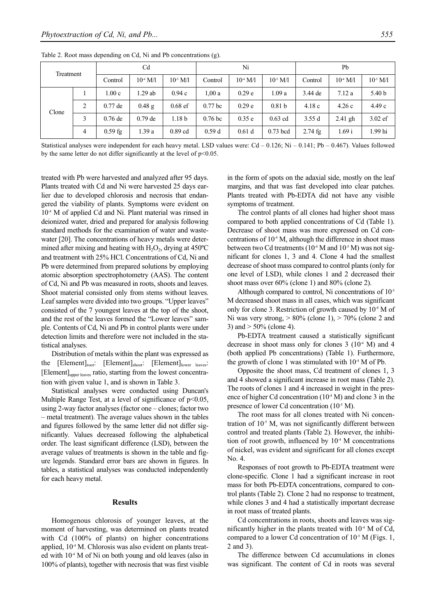| Treatment |   | C <sub>d</sub> |                    |               | Ni                 |                   |                   | Pb        |                    |                   |
|-----------|---|----------------|--------------------|---------------|--------------------|-------------------|-------------------|-----------|--------------------|-------------------|
|           |   | Control        | $10^4 \text{ M}/1$ | $10^{-5}$ M/1 | Control            | $10^4$ M/l        | $10^{-5}$ M/1     | Control   | $10^4 \text{ M}/1$ | $10^{-5}$ M/1     |
| Clone     |   | 1.00c          | l.29 ab            | 0.94c         | 1,00a              | 0.29 <sub>e</sub> | 1.09a             | $3.44$ de | 7.12a              | 5.40 <sub>b</sub> |
|           | 2 | $0.77$ de      | $0.48$ g           | $0.68$ ef     | $0.77$ bc          | 0.29 <sub>e</sub> | 0.81 <sub>b</sub> | 4.18c     | 4.26c              | 4.49c             |
|           | 3 | $0.76$ de      | $0.79$ de          | 1.18 b        | 0.76 <sub>bc</sub> | 0.35 e            | $0.63$ cd         | 3.55d     | $2.41$ gh          | $3.02$ ef         |
|           | 4 | $0.59$ fg      | 1.39 a             | $0.89$ cd     | 0.59d              | 0.61 <sub>d</sub> | $0.73$ bcd        | $2.74$ fg | 1.69 i             | 1.99 hi           |

Table 2. Root mass depending on Cd, Ni and Pb concentrations (g).

Statistical analyses were independent for each heavy metal. LSD values were:  $Cd - 0.126$ ; Ni – 0.141; Pb – 0.467). Values followed by the same letter do not differ significantly at the level of  $p<0.05$ .

treated with Pb were harvested and analyzed after 95 days. Plants treated with Cd and Ni were harvested 25 days earlier due to developed chlorosis and necrosis that endangered the viability of plants. Symptoms were evident on  $10<sup>4</sup>$  M of applied Cd and Ni. Plant material was rinsed in deionized water, dried and prepared for analysis following standard methods for the examination of water and wastewater [20]. The concentrations of heavy metals were determined after mixing and heating with  $H_2O_2$ , drying at 450 $^{\circ}$ C and treatment with 25% HCl. Concentrations of Cd, Ni and Pb were determined from prepared solutions by employing atomic absorption spectrophotometry (AAS). The content of Cd, Ni and Pb was measured in roots, shoots and leaves. Shoot material consisted only from stems without leaves. Leaf samples were divided into two groups. "Upper leaves" consisted of the 7 youngest leaves at the top of the shoot, and the rest of the leaves formed the "Lower leaves" sample. Contents of Cd, Ni and Pb in control plants were under detection limits and therefore were not included in the statistical analyses.

Distribution of metals within the plant was expressed as the [Element]<sub>root</sub>: [Element]<sub>shoot</sub>: [Element]<sub>lower leaves</sub>: [Element]<sub>upper leaves</sub> ratio, starting from the lowest concentration with given value 1, and is shown in Table 3.

Statistical analyses were conducted using Duncan's Multiple Range Test, at a level of significance of  $p<0.05$ , using 2-way factor analyses (factor one – clones; factor two – metal treatment). The average values shown in the tables and figures followed by the same letter did not differ significantly. Values decreased following the alphabetical order. The least significant difference (LSD), between the average values of treatments is shown in the table and figure legends. Standard error bars are shown in figures. In tables, a statistical analyses was conducted independently for each heavy metal.

#### **Results**

Homogenous chlorosis of younger leaves, at the moment of harvesting, was determined on plants treated with Cd (100% of plants) on higher concentrations applied, 10<sup>-4</sup> M. Chlorosis was also evident on plants treated with  $10<sup>4</sup>$  M of Ni on both young and old leaves (also in 100% of plants), together with necrosis that was first visible in the form of spots on the adaxial side, mostly on the leaf margins, and that was fast developed into clear patches. Plants treated with Pb-EDTA did not have any visible symptoms of treatment.

The control plants of all clones had higher shoot mass compared to both applied concentrations of Cd (Table 1). Decrease of shoot mass was more expressed on Cd concentrations of  $10<sup>4</sup>$  M, although the difference in shoot mass between two Cd treatments  $(10^4 \text{ M and } 10^5 \text{ M})$  was not significant for clones 1, 3 and 4. Clone 4 had the smallest decrease of shoot mass compared to control plants (only for one level of LSD), while clones 1 and 2 decreased their shoot mass over 60% (clone 1) and 80% (clone 2).

Although compared to control. Ni concentrations of  $10<sup>5</sup>$ M decreased shoot mass in all cases, which was significant only for clone 3. Restriction of growth caused by  $10<sup>4</sup>$  M of Ni was very strong,  $> 80\%$  (clone 1),  $> 70\%$  (clone 2 and 3) and  $> 50\%$  (clone 4).

Pb-EDTA treatment caused a statistically significant decrease in shoot mass only for clones  $3(10<sup>4</sup> M)$  and 4 (both applied Pb concentrations) (Table 1). Furthermore, the growth of clone 1 was stimulated with  $10<sup>4</sup>$  M of Pb.

Opposite the shoot mass, Cd treatment of clones 1, 3 and 4 showed a significant increase in root mass (Table 2). The roots of clones 1 and 4 increased in weight in the presence of higher Cd concentration  $(10^4 \text{ M})$  and clone 3 in the presence of lower Cd concentration (10<sup>-5</sup> M).

The root mass for all clones treated with Ni concentration of  $10^{-5}$  M, was not significantly different between control and treated plants (Table 2). However, the inhibition of root growth, influenced by  $10<sup>-4</sup>$  M concentrations of nickel, was evident and significant for all clones except No. 4.

Responses of root growth to Pb-EDTA treatment were clone-specific. Clone 1 had a significant increase in root mass for both Pb-EDTA concentrations, compared to control plants (Table 2). Clone 2 had no response to treatment, while clones 3 and 4 had a statistically important decrease in root mass of treated plants.

Cd concentrations in roots, shoots and leaves was significantly higher in the plants treated with  $10<sup>4</sup>$  M of Cd, compared to a lower Cd concentration of  $10<sup>-5</sup>$  M (Figs. 1, 2 and 3).

The difference between Cd accumulations in clones was significant. The content of Cd in roots was several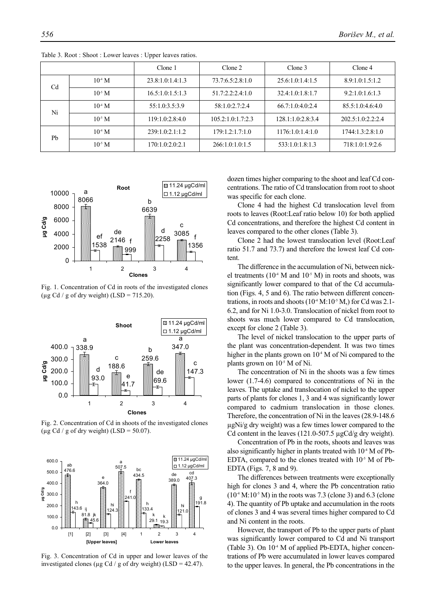|                |             | Clone 1          | Clone 2           | Clone 3           | Clone 4           |
|----------------|-------------|------------------|-------------------|-------------------|-------------------|
| C <sub>d</sub> | $10^4$ M    | 23.8:1.0:1.4:1.3 | 73.7:6.5:2.8:1.0  | 25.6:1.0:1.4:1.5  | 8.9:1.0:1.5:1.2   |
|                | $10^{-5}$ M | 16.5:1.0:1.5:1.3 | 51.7:2.2:2.4:1.0  | 32.4:1.0:1.8:1.7  | 9.2:1.0:1.6:1.3   |
| Ni             | $10^4 M$    | 55:1.0:3.5:3.9   | 58:1.0:2.7:2.4    | 66.7:1.0:4.0:2.4  | 85.5:1.0:4.6:4.0  |
|                | $10^{5}$ M  | 119:1.0:2.8:4.0  | 105.2:1.0:1.7:2.3 | 128.1:1.0:2.8:3.4 | 202.5:1.0:2.2:2.4 |
| Pb             | $10^4$ M    | 239:1.0:2.1:1.2  | 179:1.2:1.7:1.0   | 1176:1.0:1.4:1.0  | 1744:1.3:2.8:1.0  |
|                | $10^{-5}$ M | 170:1.0:2.0:2.1  | 266:1.0:1.0:1.5   | 533:1.0:1.8:1.3   | 718:1.0:1.9:2.6   |

Table 3. Root : Shoot : Lower leaves : Upper leaves ratios.



Fig. 1. Concentration of Cd in roots of the investigated clones ( $\mu$ g Cd / g of dry weight) (LSD = 715.20).



Fig. 2. Concentration of Cd in shoots of the investigated clones ( $\mu$ g Cd / g of dry weight) (LSD = 50.07).



Fig. 3. Concentration of Cd in upper and lower leaves of the investigated clones ( $\mu$ g Cd / g of dry weight) (LSD = 42.47).

dozen times higher comparing to the shoot and leaf Cd concentrations. The ratio of Cd translocation from root to shoot was specific for each clone.

Clone 4 had the highest Cd translocation level from roots to leaves (Root:Leaf ratio below 10) for both applied Cd concentrations, and therefore the highest Cd content in leaves compared to the other clones (Table 3).

Clone 2 had the lowest translocation level (Root:Leaf ratio 51.7 and 73.7) and therefore the lowest leaf Cd content.

The difference in the accumulation of Ni, between nickel treatments ( $10<sup>-4</sup>$  M and  $10<sup>-5</sup>$  M) in roots and shoots, was significantly lower compared to that of the Cd accumulation (Figs. 4, 5 and 6). The ratio between different concentrations, in roots and shoots  $(10^4 \text{ M}:10^{5} \text{ M})$  for Cd was 2.1-6.2, and for Ni 1.0-3.0. Translocation of nickel from root to shoots was much lower compared to Cd translocation, except for clone 2 (Table 3).

The level of nickel translocation to the upper parts of the plant was concentration-dependent. It was two times higher in the plants grown on  $10<sup>4</sup>$  M of Ni compared to the plants grown on  $10<sup>-5</sup>$  M of Ni.

The concentration of Ni in the shoots was a few times lower (1.7-4.6) compared to concentrations of Ni in the leaves. The uptake and translocation of nickel to the upper parts of plants for clones 1, 3 and 4 was significantly lower compared to cadmium translocation in those clones. Therefore, the concentration of Ni in the leaves (28.9-148.6 µgNi/g dry weight) was a few times lower compared to the Cd content in the leaves (121.0-507.5 µgCd/g dry weight).

Concentration of Pb in the roots, shoots and leaves was also significantly higher in plants treated with 10<sup>-4</sup> M of Pb-EDTA, compared to the clones treated with  $10^{-5}$  M of Pb-EDTA (Figs. 7, 8 and 9).

The differences between treatments were exceptionally high for clones 3 and 4, where the Pb concentration ratio  $(10^4 \text{ M}:10^{5} \text{ M})$  in the roots was 7.3 (clone 3) and 6.3 (clone 4). The quantity of Pb uptake and accumulation in the roots of clones 3 and 4 was several times higher compared to Cd and Ni content in the roots.

However, the transport of Pb to the upper parts of plant was significantly lower compared to Cd and Ni transport (Table 3). On  $10<sup>4</sup>$  M of applied Pb-EDTA, higher concentrations of Pb were accumulated in lower leaves compared to the upper leaves. In general, the Pb concentrations in the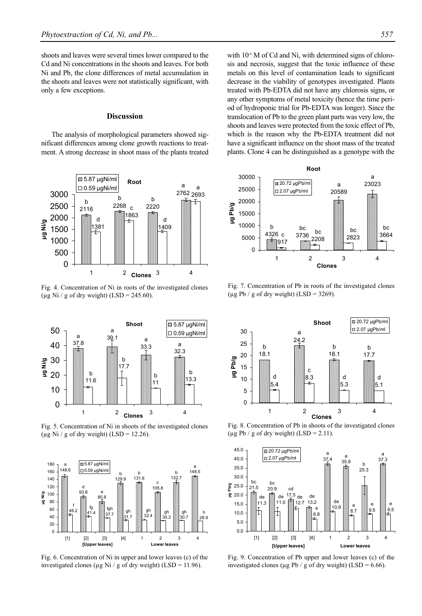shoots and leaves were several times lower compared to the Cd and Ni concentrations in the shoots and leaves. For both Ni and Pb, the clone differences of metal accumulation in the shoots and leaves were not statistically significant, with only a few exceptions.

### **Discussion**

The analysis of morphological parameters showed significant differences among clone growth reactions to treatment. A strong decrease in shoot mass of the plants treated



Fig. 4. Concentration of Ni in roots of the investigated clones (µg Ni / g of dry weight) (LSD = 245.60).



Fig. 5. Concentration of Ni in shoots of the investigated clones (µg Ni / g of dry weight) (LSD = 12.26).



Fig. 6. Concentration of Ni in upper and lower leaves (c) of the investigated clones ( $\mu$ g Ni / g of dry weight) (LSD = 11.96).

with  $10<sup>4</sup>$  M of Cd and Ni, with determined signs of chlorosis and necrosis, suggest that the toxic influence of these metals on this level of contamination leads to significant decrease in the viability of genotypes investigated. Plants treated with Pb-EDTA did not have any chlorosis signs, or any other symptoms of metal toxicity (hence the time period of hydroponic trial for Pb-EDTA was longer). Since the translocation of Pb to the green plant parts was very low, the shoots and leaves were protected from the toxic effect of Pb, which is the reason why the Pb-EDTA treatment did not have a significant influence on the shoot mass of the treated plants. Clone 4 can be distinguished as a genotype with the



Fig. 7. Concentration of Pb in roots of the investigated clones ( $\mu$ g Pb / g of dry weight) (LSD = 3269).



Fig. 8. Concentration of Pb in shoots of the investigated clones ( $\mu$ g Pb / g of dry weight) (LSD = 2.11).



Fig. 9. Concentration of Pb upper and lower leaves (c) of the investigated clones ( $\mu$ g Pb / g of dry weight) (LSD = 6.66).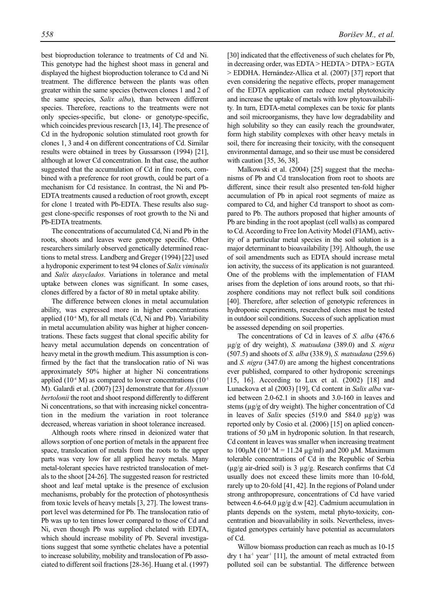best bioproduction tolerance to treatments of Cd and Ni. This genotype had the highest shoot mass in general and displayed the highest bioproduction tolerance to Cd and Ni treatment. The difference between the plants was often greater within the same species (between clones 1 and 2 of the same species, *Salix alba*), than between different species. Therefore, reactions to the treatments were not only species-specific, but clone- or genotype-specific, which coincides previous research [13, 14]. The presence of Cd in the hydroponic solution stimulated root growth for clones 1, 3 and 4 on different concentrations of Cd. Similar results were obtained in trees by Gussarsson (1994) [21], although at lower Cd concentration. In that case, the author suggested that the accumulation of Cd in fine roots, combined with a preference for root growth, could be part of a mechanism for Cd resistance. In contrast, the Ni and Pb-EDTA treatments caused a reduction of root growth, except for clone 1 treated with Pb-EDTA. These results also suggest clone-specific responses of root growth to the Ni and Pb-EDTA treatments.

The concentrations of accumulated Cd, Ni and Pb in the roots, shoots and leaves were genotype specific. Other researchers similarly observed genetically determined reactions to metal stress. Landberg and Greger (1994) [22] used a hydroponic experiment to test 94 clones of *Salix viminalis* and *Salix dasyclados*. Variations in tolerance and metal uptake between clones was significant. In some cases, clones differed by a factor of 80 in metal uptake ability.

The difference between clones in metal accumulation ability, was expressed more in higher concentrations applied  $(10<sup>4</sup> M)$ , for all metals (Cd, Ni and Pb). Variability in metal accumulation ability was higher at higher concentrations. These facts suggest that clonal specific ability for heavy metal accumulation depends on concentration of heavy metal in the growth medium. This assumption is confirmed by the fact that the translocation ratio of Ni was approximately 50% higher at higher Ni concentrations applied (10<sup>-4</sup> M) as compared to lower concentrations (10<sup>-5</sup>) M). Galardi et al. (2007) [23] demonstrate that for *Alyssum bertolonii* the root and shoot respond differently to different Ni concentrations, so that with increasing nickel concentration in the medium the variation in root tolerance decreased, whereas variation in shoot tolerance increased.

Although roots where rinsed in deionized water that allows sorption of one portion of metals in the apparent free space, translocation of metals from the roots to the upper parts was very low for all applied heavy metals. Many metal-tolerant species have restricted translocation of metals to the shoot [24-26]. The suggested reason for restricted shoot and leaf metal uptake is the presence of exclusion mechanisms, probably for the protection of photosynthesis from toxic levels of heavy metals [3, 27]. The lowest transport level was determined for Pb. The translocation ratio of Pb was up to ten times lower compared to those of Cd and Ni, even though Pb was supplied chelated with EDTA, which should increase mobility of Pb. Several investigations suggest that some synthetic chelates have a potential to increase solubility, mobility and translocation of Pb associated to different soil fractions [28-36]. Huang et al. (1997)

[30] indicated that the effectiveness of such chelates for Pb, in decreasing order, was EDTA > HEDTA > DTPA > EGTA > EDDHA. Hernández-Allica et al. (2007) [37] report that even considering the negative effects, proper management of the EDTA application can reduce metal phytotoxicity and increase the uptake of metals with low phytoavailability. In turn, EDTA-metal complexes can be toxic for plants and soil microorganisms, they have low degradability and high solubility so they can easily reach the groundwater, form high stability complexes with other heavy metals in soil, there for increasing their toxicity, with the consequent environmental damage, and so their use must be considered with caution [35, 36, 38].

Malkowski et al. (2004) [25] suggest that the mechanisms of Pb and Cd translocation from root to shoots are different, since their result also presented ten-fold higher accumulation of Pb in apical root segments of maize as compared to Cd, and higher Cd transport to shoot as compared to Pb. The authors proposed that higher amounts of Pb are binding in the root apoplast (cell walls) as compared to Cd. According to Free Ion Activity Model (FIAM), activity of a particular metal species in the soil solution is a major determinant to bioavailability [39]. Although, the use of soil amendments such as EDTA should increase metal ion activity, the success of its application is not guaranteed. One of the problems with the implementation of FIAM arises from the depletion of ions around roots, so that rhizosphere conditions may not reflect bulk soil conditions [40]. Therefore, after selection of genotypic references in hydroponic experiments, researched clones must be tested in outdoor soil conditions. Success of such application must be assessed depending on soil properties.

The concentrations of Cd in leaves of *S. alba* (476.6 µg/g of dry weight), *S. matsudana* (389.0) and *S. nigra* (507.5) and shoots of *S. alba* (338.9), *S. matsudana* (259.6) and *S. nigra* (347.0) are among the highest concentrations ever published, compared to other hydroponic screenings [15, 16]. According to Lux et al. (2002) [18] and Lunackova et al (2003) [19], Cd content in *Salix alba* varied between 2.0-62.1 in shoots and 3.0-160 in leaves and stems (µg/g of dry weight). The higher concentration of Cd in leaves of *Salix* species (519.0 and 584.0 µg/g) was reported only by Cosio et al. (2006) [15] on aplied concentrations of 50 µM in hydroponic solution. In that research, Cd content in leaves was smaller when increasing treatment to  $100\mu$ M ( $10^{-4}$  M = 11.24  $\mu$ g/ml) and 200  $\mu$ M. Maximum tolerable concentrations of Cd in the Republic of Serbia  $(\mu g/g \text{ air-dried soil})$  is 3  $\mu g/g$ . Research confirms that Cd usually does not exceed these limits more than 10-fold, rarely up to 20-fold [41, 42]. In the regions of Poland under strong anthropopresure, concentrations of Cd have varied between 4.6-64.0 µg/g d.w [42]. Cadmium accumulation in plants depends on the system, metal phyto-toxicity, concentration and bioavailability in soils. Nevertheless, investigated genotypes certainly have potential as accumulators of Cd.

Willow biomass production can reach as much as 10-15 dry t ha<sup>-1</sup> year<sup>-1</sup> [11], the amount of metal extracted from polluted soil can be substantial. The difference between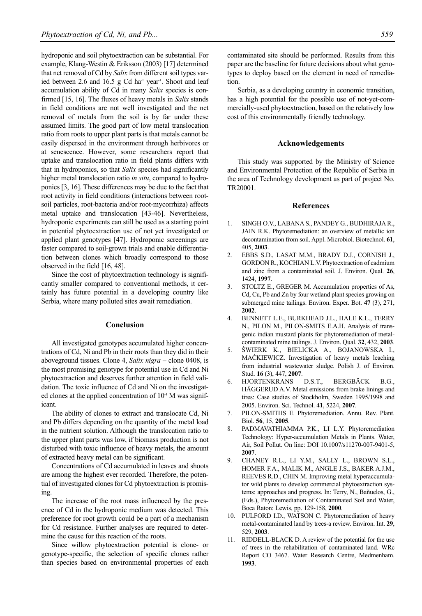hydroponic and soil phytoextraction can be substantial. For example, Klang-Westin & Eriksson (2003) [17] determined that net removal of Cd by *Salix* from different soil types varied between 2.6 and 16.5 g Cd ha $^{-1}$  year<sup>1</sup>. Shoot and leaf accumulation ability of Cd in many *Salix* species is confirmed [15, 16]. The fluxes of heavy metals in *Salix* stands in field conditions are not well investigated and the net removal of metals from the soil is by far under these assumed limits. The good part of low metal translocation ratio from roots to upper plant parts is that metals cannot be easily dispersed in the environment through herbivores or at senescence. However, some researchers report that uptake and translocation ratio in field plants differs with that in hydroponics, so that *Salix* species had significantly higher metal translocation ratio *in situ*, compared to hydroponics [3, 16]. These differences may be due to the fact that root activity in field conditions (interactions between rootsoil particles, root-bacteria and/or root-mycorrhiza) affects metal uptake and translocation [43-46]. Nevertheless, hydroponic experiments can still be used as a starting point in potential phytoextraction use of not yet investigated or applied plant genotypes [47]. Hydroponic screenings are faster compared to soil-grown trials and enable differentiation between clones which broadly correspond to those observed in the field [16, 48].

Since the cost of phytoextraction technology is significantly smaller compared to conventional methods, it certainly has future potential in a developing country like Serbia, where many polluted sites await remediation.

#### **Conclusion**

All investigated genotypes accumulated higher concentrations of Cd, Ni and Pb in their roots than they did in their aboveground tissues. Clone 4, *Salix nigra* – clone 0408, is the most promising genotype for potential use in Cd and Ni phytoextraction and deserves further attention in field validation. The toxic influence of Cd and Ni on the investigated clones at the applied concentration of  $10<sup>4</sup>$  M was significant.

The ability of clones to extract and translocate Cd, Ni and Pb differs depending on the quantity of the metal load in the nutrient solution. Although the translocation ratio to the upper plant parts was low, if biomass production is not disturbed with toxic influence of heavy metals, the amount of extracted heavy metal can be significant.

Concentrations of Cd accumulated in leaves and shoots are among the highest ever recorded. Therefore, the potential of investigated clones for Cd phytoextraction is promising.

The increase of the root mass influenced by the presence of Cd in the hydroponic medium was detected. This preference for root growth could be a part of a mechanism for Cd resistance. Further analyses are required to determine the cause for this reaction of the roots.

Since willow phytoextraction potential is clone- or genotype-specific, the selection of specific clones rather than species based on environmental properties of each contaminated site should be performed. Results from this paper are the baseline for future decisions about what genotypes to deploy based on the element in need of remediation.

Serbia, as a developing country in economic transition, has a high potential for the possible use of not-yet-commercially-used phytoextraction, based on the relatively low cost of this environmentally friendly technology.

#### **Acknowledgements**

This study was supported by the Ministry of Science and Environmental Protection of the Republic of Serbia in the area of Technology development as part of project No. TR20001.

### **References**

- 1. SINGH O.V., LABANA S., PANDEY G., BUDHIRAJA R., JAIN R.K. Phytoremediation: an overview of metallic ion decontamination from soil. Appl. Microbiol. Biotechnol. **61**, 405, **2003**.
- 2. EBBS S.D., LASAT M.M., BRADY D.J., CORNISH J., GORDON R., KOCHIAN L.V. Phytoextraction of cadmium and zinc from a contaminated soil. J. Environ. Qual. **26**, 1424, **1997**.
- 3. STOLTZ E., GREGER M. Accumulation properties of As, Cd, Cu, Pb and Zn by four wetland plant species growing on submerged mine tailings. Environ. Exper. Bot. **47** (3), 271, **2002**.
- 4. BENNETT L.E., BURKHEAD J.L., HALE K.L., TERRY N., PILON M., PILON-SMITS E.A.H. Analysis of transgenic indian mustard plants for phytoremediation of metalcontaminated mine tailings. J. Environ. Qual. **32**, 432, **2003**.
- 5. ŚWIERK K., BIELICKA A., BOJANOWSKA I., MAĆKIEWICZ. Investigation of heavy metals leaching from industrial wastewater sludge. Polish J. of Environ. Stud. **16** (3), 447, **2007**.
- 6. HJORTENKRANS D.S.T., BERGBÄCK B.G., HÄGGERUD A.V. Metal emissions from brake linings and tires: Case studies of Stockholm, Sweden 1995/1998 and 2005. Environ. Sci. Technol. **41**, 5224, **2007**.
- 7. PILON-SMITHS E. Phytoremediation. Annu. Rev. Plant. Biol. **56**, 15, **2005**.
- 8. PADMAVATHIAMMA P.K., LI L.Y. Phytoremediation Technology: Hyper-accumulation Metals in Plants. Water, Air, Soil Pollut. On line: DOI 10.1007/s11270-007-9401-5, **2007**.
- 9. CHANEY R.L., LI Y.M., SALLY L., BROWN S.L., HOMER F.A., MALIK M., ANGLE J.S., BAKER A.J.M., REEVES R.D., CHIN M. Improving metal hyperaccumulator wild plants to develop commercial phytoextraction systems: approaches and progress. In: Terry, N., Bañuelos, G., (Eds.), Phytoremediation of Contaminated Soil and Water, Boca Raton: Lewis, pp. 129-158, **2000**.
- 10. PULFORD I.D., WATSON C. Phytoremediation of heavy metal-contaminated land by trees-a review. Environ. Int. **29**, 529, **2003**.
- 11. RIDDELL-BLACK D. A review of the potential for the use of trees in the rehabilitation of contaminated land. WRc Report CO 3467. Water Research Centre, Medmenham. **1993**.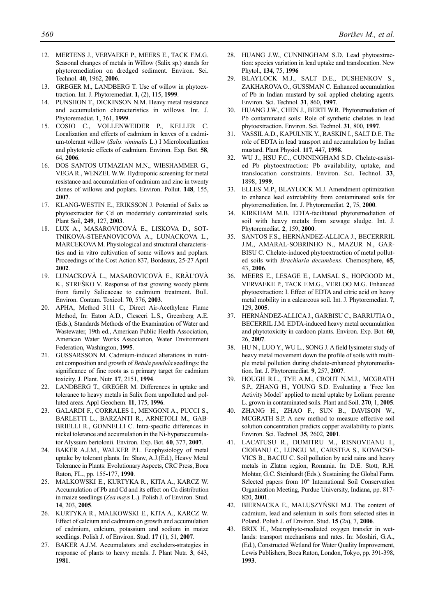- 12. MERTENS J., VERVAEKE P., MEERS E., TACK F.M.G. Seasonal changes of metals in Willow (Salix sp.) stands for phytoremediation on dredged sediment. Environ. Sci. Technol. **40**, 1962, **2006**.
- 13. GREGER M., LANDBERG T. Use of willow in phytoextraction. Int. J. Phytoremediat. **1,** (2), 115, **1999**.
- 14. PUNSHON T., DICKINSON N.M. Heavy metal resistance and accumulation characteristics in willows. Int. J. Phytoremediat. **1**, 361, **1999**.
- 15. COSIO C., VOLLENWEIDER P., KELLER C. Localization and effects of cadmium in leaves of a cadmium-tolerant willow (*Salix viminalis* L.) I Microlocalization and phytotoxic effects of cadmium. Environ. Exp. Bot. **58**, 64, **2006**.
- 16. DOS SANTOS UTMAZIAN M.N., WIESHAMMER G., VEGA R., WENZEL W.W. Hydroponic screening for metal resistance and accumulation of cadmium and zinc in twenty clones of willows and poplars. Environ. Pollut. **148**, 155, **2007**.
- 17. KLANG-WESTIN E., ERIKSSON J. Potential of Salix as phytoextractor for Cd on moderately contaminated soils. Plant Soil, **249**, 127, **2003**.
- 18. LUX A., MASAROVICOVÀ E., LISKOVA D., SOT-TNIKOVA-STEFANOVICOVA A., LUNACKOVA L., MARCEKOVA M. Physiological and structural characteristics and in vitro cultivation of some willows and poplars. Proceedings of the Cost Action 837, Bordeaux, 25-27 April **2002**.
- 19. LUNACKOVÀ L., MASAROVICOVÀ E., KRÀL'OVÀ K., STREŠKO V. Response of fast growing woody plants from family Salicaceae to cadmium treatment. Bull. Environ. Contam. Toxicol. **70**, 576, **2003**.
- 20. APHA, Method 3111 C, Direct Air-Acethylene Flame Method, In: Eaton A.D., Clesceri L.S., Greenberg A.E. (Eds.), Standards Methods of the Examination of Water and Wastewater, 19th ed., American Public Health Association, American Water Works Association, Water Environment Federation, Washington, **1995**.
- 21. GUSSARSSON M. Cadmium-induced alterations in nutrient composition and growth of *Betula pendula* seedlings: the significance of fine roots as a primary target for cadmium toxicity. J. Plant. Nutr. **17**, 2151, **1994**.
- 22. LANDBERG T., GREGER M. Differences in uptake and tolerance to heavy metals in Salix from unpolluted and polluted areas. Appl Geochem. **11**, 175, **1996**.
- 23. GALARDI F., CORRALES I., MENGONI A., PUCCI S., BARLETTI L., BARZANTI R., ARNETOLI M., GAB-BRIELLI R., GONNELLI C. Intra-specific differences in nickel tolerance and accumulation in the Ni-hyperaccumulator Alyssum bertolonii. Environ. Exp. Bot. **60**, 377, **2007**.
- 24. BAKER A.J.M., WALKER P.L. Ecophysiology of metal uptake by tolerant plants. In: Shaw, A.J.(Ed.), Heavy Metal Tolerance in Plants: Evolutionary Aspects, CRC Press, Boca Raton, FL., pp. 155-177, **1990**.
- 25. MALKOWSKI E., KURTYKA R., KITA A., KARCZ W. Accumulation of Pb and Cd and its effect on Ca distribution in maize seedlings (*Zea mays* L.). Polish J. of Environ. Stud. **14**, 203, **2005**.
- 26. KURTYKA R., MALKOWSKI E., KITA A., KARCZ W. Effect of calcium and cadmium on growth and accumulation of cadmium, calcium, potassium and sodium in maize seedlings. Polish J. of Environ. Stud. **17** (1), 51, **2007**.
- 27. BAKER A.J.M. Accumulators and excluders-strategies in response of plants to heavy metals. J. Plant Nutr. **3**, 643, **1981**.
- 28. HUANG J.W., CUNNINGHAM S.D. Lead phytoextraction: species variation in lead uptake and translocation. New Phytol., **134**, 75, **1996**
- 29. BLAYLOCK M.J., SALT D.E., DUSHENKOV S., ZAKHAROVA O., GUSSMAN C. Enhanced accumulation of Pb in Indian mustard by soil applied chelating agents. Environ. Sci. Technol. **31**, 860, **1997**.
- 30. HUANG J.W., CHEN J., BERTI W.R. Phytoremediation of Pb contaminated soils: Role of synthetic chelates in lead phytoextraction. Environ. Sci. Technol. **31**, 800, **1997**.
- 31. VASSIL A.D., KAPULNIK Y., RASKIN I., SALT D.E. The role of EDTA in lead transport and accumulation by Indian mustard. Plant Physiol. **117**, 447, **1998**.
- 32. WU J., HSU F.C., CUNNINGHAM S.D. Chelate-assisted Pb phytoextraction: Pb availability, uptake, and translocation constraints. Environ. Sci. Technol. **33**, 1898, **1999**.
- 33. ELLES M.P., BLAYLOCK M.J. Amendment optimization to enhance lead extrctability from contaminated soils for phytoremediation. Int. J. Phytoremediat. **2**, 75, **2000**.
- 34. KIRKHAM M.B. EDTA-facilitated phytoremediation of soil with heavy metals from sewage sludge. Int. J. Phytoremediat. **2**, 159, **2000**.
- 35. SANTOS F.S., HERNÁNDEZ-ALLICA J., BECERRRIL J.M., AMARAL-SOBRINHO N., MAZUR N., GAR-BISU C. Chelate-induced phytoextraction of metal polluted soils with *Brachiaria decumbens*. Chemosphere, **65**, 43, **2006**.
- 36. MEERS E., LESAGE E., LAMSAL S., HOPGOOD M., VERVAEKE P., TACK F.M.G., VERLOO M.G. Enhanced phytoextraction: I. Effect of EDTA and citric acid on heavy metal mobility in a calcareous soil. Int. J. Phytoremediat. **7**, 129, **2005**.
- 37. HERNÁNDEZ-ALLICA J., GARBISU C., BARRUTIA O., BECERRIL J.M. EDTA-induced heavy metal accumulation and phytotoxicity in cardoon plants. Environ. Exp. Bot. **60**, 26, **2007**.
- 38. HU N., LUO Y., WU L., SONG J. A field lysimeter study of heavy metal movement down the profile of soils with multiple metal pollution during chelate-enhanced phytoremediation. Int. J. Phytoremediat. **9**, 257, **2007**.
- 39. HOUGH R.L., TYE A.M., CROUT N.M.J., MCGRATH S.P., ZHANG H., YOUNG S.D. Evaluating a ´Free Ion Activity Model´ applied to metal uptake by Lolium perenne L. grown in contaminated soils. Plant and Soil. **270**, 1, **2005**.
- 40. ZHANG H., ZHAO F., SUN B., DAVISON W., MCGRATH S.P. A new method to measure effective soil solution concentration predicts copper availability to plants. Environ. Sci. Technol. **35**, 2602, **2001**.
- 41. LACATUSU R., DUMITRU M., RISNOVEANU I., CIOBANU C., LUNGU M., CARSTEA S., KOVACSO-VICS B., BACIU C. Soil pollution by acid rains and heavy metals in Zlatna region, Romania. In: D.E. Stott, R.H. Mohtar, G.C. Steinhardt (Eds.). Sustaining the Global Farm. Selected papers from 10<sup>th</sup> International Soil Conservation Organization Meeting, Purdue University, Indiana, pp. 817- 820, **2001**.
- 42. BIERNACKA E., MALUSZYŃSKI M.J. The content of cadmium, lead and selenium in soils from selected sites in Poland. Polish J. of Environ. Stud. **15** (2a), 7, **2006**.
- 43. BRIX H., Macrophyte-mediated oxygen transfer in wetlands: transport mechanisms and rates. In: Moshiri, G.A., (Ed.), Constructed Wetland for Water Quality Improvement, Lewis Publishers, Boca Raton, London, Tokyo, pp. 391-398, **1993**.